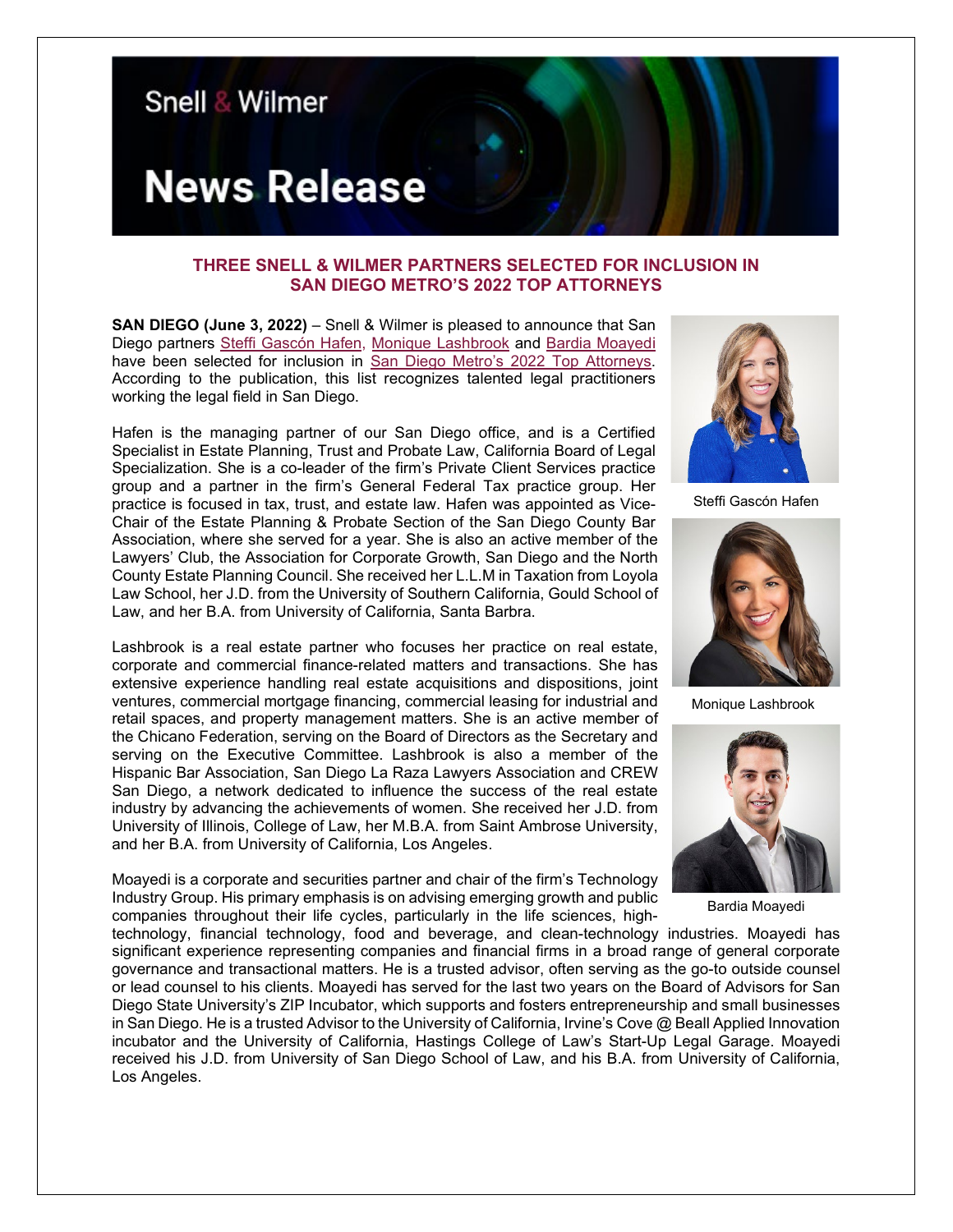

## **THREE SNELL & WILMER PARTNERS SELECTED FOR INCLUSION IN SAN DIEGO METRO'S 2022 TOP ATTORNEYS**

**SAN DIEGO (June 3, 2022)** – Snell & Wilmer is pleased to announce that San Diego partners [Steffi Gascón Hafen,](https://www.swlaw.com/people/steffi_gascon) [Monique Lashbrook](https://www.swlaw.com/people/monique_lashbrook) and [Bardia Moayedi](https://www.swlaw.com/people/bardia_moayedi) have been selected for inclusion in [San Diego Metro's 2022 Top Attorneys.](https://www.sandiegometro.com/wp-content/uploads/2022/06/PROOF-24-PG-SDMETRO-NO-4-VOL-XXXVII.pdf) According to the publication, this list recognizes talented legal practitioners working the legal field in San Diego.

Hafen is the managing partner of our San Diego office, and is a Certified Specialist in Estate Planning, Trust and Probate Law, California Board of Legal Specialization. She is a co-leader of the firm's Private Client Services practice group and a partner in the firm's General Federal Tax practice group. Her practice is focused in tax, trust, and estate law. Hafen was appointed as Vice-Chair of the Estate Planning & Probate Section of the San Diego County Bar Association, where she served for a year. She is also an active member of the Lawyers' Club, the Association for Corporate Growth, San Diego and the North County Estate Planning Council. She received her L.L.M in Taxation from Loyola Law School, her J.D. from the University of Southern California, Gould School of Law, and her B.A. from University of California, Santa Barbra.

Lashbrook is a real estate partner who focuses her practice on real estate, corporate and commercial finance-related matters and transactions. She has extensive experience handling real estate acquisitions and dispositions, joint ventures, commercial mortgage financing, commercial leasing for industrial and retail spaces, and property management matters. She is an active member of the Chicano Federation, serving on the Board of Directors as the Secretary and serving on the Executive Committee. Lashbrook is also a member of the Hispanic Bar Association, San Diego La Raza Lawyers Association and CREW San Diego, a network dedicated to influence the success of the real estate industry by advancing the achievements of women. She received her J.D. from University of Illinois, College of Law, her M.B.A. from Saint Ambrose University, and her B.A. from University of California, Los Angeles.

Moayedi is a corporate and securities partner and chair of the firm's Technology Industry Group. His primary emphasis is on advising emerging growth and public companies throughout their life cycles, particularly in the life sciences, high-



Steffi Gascón Hafen



Monique Lashbrook



Bardia Moayedi

technology, financial technology, food and beverage, and clean-technology industries. Moayedi has significant experience representing companies and financial firms in a broad range of general corporate governance and transactional matters. He is a trusted advisor, often serving as the go-to outside counsel or lead counsel to his clients. Moayedi has served for the last two years on the Board of Advisors for San Diego State University's ZIP Incubator, which supports and fosters entrepreneurship and small businesses in San Diego. He is a trusted Advisor to the University of California, Irvine's Cove @ Beall Applied Innovation incubator and the University of California, Hastings College of Law's Start-Up Legal Garage. Moayedi received his J.D. from University of San Diego School of Law, and his B.A. from University of California, Los Angeles.